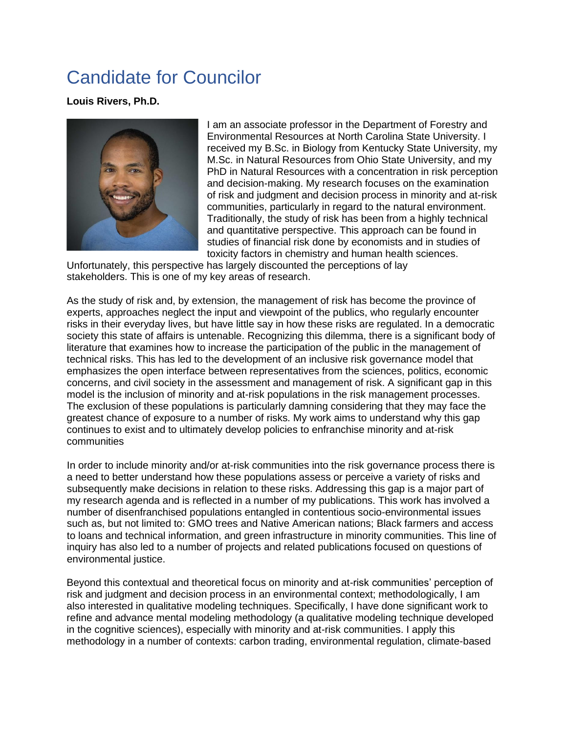## Candidate for Councilor

**Louis Rivers, Ph.D.**



I am an associate professor in the Department of Forestry and Environmental Resources at North Carolina State University. I received my B.Sc. in Biology from Kentucky State University, my M.Sc. in Natural Resources from Ohio State University, and my PhD in Natural Resources with a concentration in risk perception and decision-making. My research focuses on the examination of risk and judgment and decision process in minority and at-risk communities, particularly in regard to the natural environment. Traditionally, the study of risk has been from a highly technical and quantitative perspective. This approach can be found in studies of financial risk done by economists and in studies of toxicity factors in chemistry and human health sciences.

Unfortunately, this perspective has largely discounted the perceptions of lay stakeholders. This is one of my key areas of research.

As the study of risk and, by extension, the management of risk has become the province of experts, approaches neglect the input and viewpoint of the publics, who regularly encounter risks in their everyday lives, but have little say in how these risks are regulated. In a democratic society this state of affairs is untenable. Recognizing this dilemma, there is a significant body of literature that examines how to increase the participation of the public in the management of technical risks. This has led to the development of an inclusive risk governance model that emphasizes the open interface between representatives from the sciences, politics, economic concerns, and civil society in the assessment and management of risk. A significant gap in this model is the inclusion of minority and at-risk populations in the risk management processes. The exclusion of these populations is particularly damning considering that they may face the greatest chance of exposure to a number of risks. My work aims to understand why this gap continues to exist and to ultimately develop policies to enfranchise minority and at-risk communities

In order to include minority and/or at-risk communities into the risk governance process there is a need to better understand how these populations assess or perceive a variety of risks and subsequently make decisions in relation to these risks. Addressing this gap is a major part of my research agenda and is reflected in a number of my publications. This work has involved a number of disenfranchised populations entangled in contentious socio-environmental issues such as, but not limited to: GMO trees and Native American nations; Black farmers and access to loans and technical information, and green infrastructure in minority communities. This line of inquiry has also led to a number of projects and related publications focused on questions of environmental justice.

Beyond this contextual and theoretical focus on minority and at-risk communities' perception of risk and judgment and decision process in an environmental context; methodologically, I am also interested in qualitative modeling techniques. Specifically, I have done significant work to refine and advance mental modeling methodology (a qualitative modeling technique developed in the cognitive sciences), especially with minority and at-risk communities. I apply this methodology in a number of contexts: carbon trading, environmental regulation, climate-based